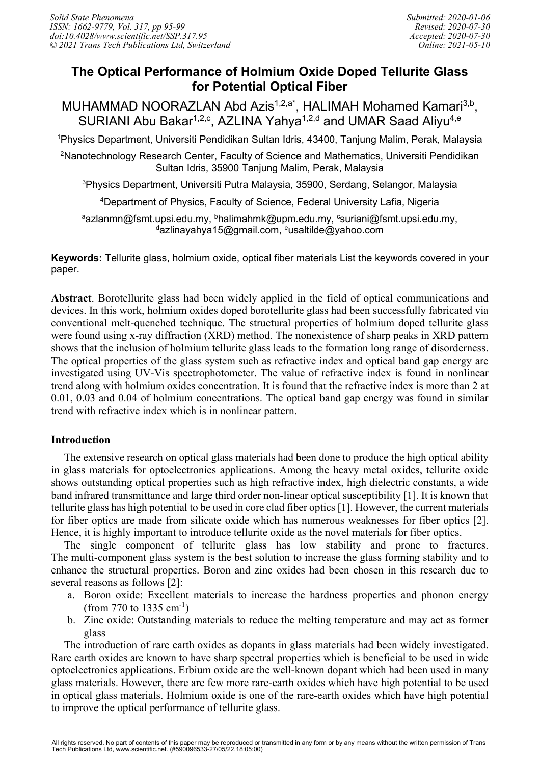# **The Optical Performance of Holmium Oxide Doped Tellurite Glass for Potential Optical Fiber**

MUHAMMAD NOORAZLAN Abd Azis<sup>1,2,a\*</sup>, HALIMAH Mohamed Kamari<sup>3,b</sup>, SURIANI Abu Bakar<sup>1,2,c</sup>, AZLINA Yahya<sup>1,2,d</sup> and UMAR Saad Aliyu<sup>4,e</sup>

1 Physics Department, Universiti Pendidikan Sultan Idris, 43400, Tanjung Malim, Perak, Malaysia

2 Nanotechnology Research Center, Faculty of Science and Mathematics, Universiti Pendidikan Sultan Idris, 35900 Tanjung Malim, Perak, Malaysia

3 Physics Department, Universiti Putra Malaysia, 35900, Serdang, Selangor, Malaysia

4 Department of Physics, Faculty of Science, Federal University Lafia, Nigeria

<sup>a</sup>azlanmn@fsmt.upsi.edu.my, <sup>b</sup>halimahmk@upm.edu.my, <sup>c</sup>suriani@fsmt.upsi.edu.my, <sup>d</sup>azlinayahya15@gmail.com, <sup>e</sup>usaltilde@yahoo.com

**Keywords:** Tellurite glass, holmium oxide, optical fiber materials List the keywords covered in your paper.

**Abstract**. Borotellurite glass had been widely applied in the field of optical communications and devices. In this work, holmium oxides doped borotellurite glass had been successfully fabricated via conventional melt-quenched technique. The structural properties of holmium doped tellurite glass were found using x-ray diffraction (XRD) method. The nonexistence of sharp peaks in XRD pattern shows that the inclusion of holmium tellurite glass leads to the formation long range of disorderness. The optical properties of the glass system such as refractive index and optical band gap energy are investigated using UV-Vis spectrophotometer. The value of refractive index is found in nonlinear trend along with holmium oxides concentration. It is found that the refractive index is more than 2 at 0.01, 0.03 and 0.04 of holmium concentrations. The optical band gap energy was found in similar trend with refractive index which is in nonlinear pattern.

## **Introduction**

The extensive research on optical glass materials had been done to produce the high optical ability in glass materials for optoelectronics applications. Among the heavy metal oxides, tellurite oxide shows outstanding optical properties such as high refractive index, high dielectric constants, a wide band infrared transmittance and large third order non-linear optical susceptibility [1]. It is known that tellurite glass has high potential to be used in core clad fiber optics [1]. However, the current materials for fiber optics are made from silicate oxide which has numerous weaknesses for fiber optics [2]. Hence, it is highly important to introduce tellurite oxide as the novel materials for fiber optics.

The single component of tellurite glass has low stability and prone to fractures. The multi-component glass system is the best solution to increase the glass forming stability and to enhance the structural properties. Boron and zinc oxides had been chosen in this research due to several reasons as follows [2]:

- a. Boron oxide: Excellent materials to increase the hardness properties and phonon energy  $(from 770 to 1335 cm<sup>-1</sup>)$
- b. Zinc oxide: Outstanding materials to reduce the melting temperature and may act as former glass

The introduction of rare earth oxides as dopants in glass materials had been widely investigated. Rare earth oxides are known to have sharp spectral properties which is beneficial to be used in wide optoelectronics applications. Erbium oxide are the well-known dopant which had been used in many glass materials. However, there are few more rare-earth oxides which have high potential to be used in optical glass materials. Holmium oxide is one of the rare-earth oxides which have high potential to improve the optical performance of tellurite glass.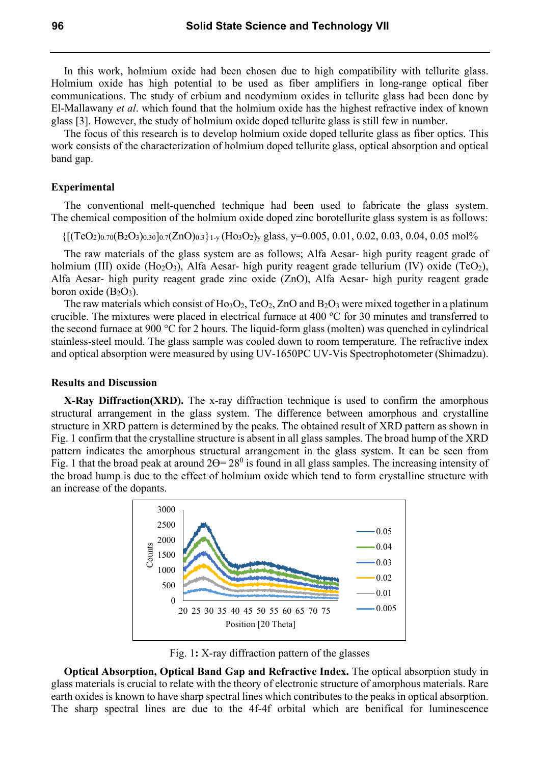In this work, holmium oxide had been chosen due to high compatibility with tellurite glass. Holmium oxide has high potential to be used as fiber amplifiers in long-range optical fiber communications. The study of erbium and neodymium oxides in tellurite glass had been done by El-Mallawany *et al*. which found that the holmium oxide has the highest refractive index of known glass [3]. However, the study of holmium oxide doped tellurite glass is still few in number.

The focus of this research is to develop holmium oxide doped tellurite glass as fiber optics. This work consists of the characterization of holmium doped tellurite glass, optical absorption and optical band gap.

#### **Experimental**

The conventional melt-quenched technique had been used to fabricate the glass system. The chemical composition of the holmium oxide doped zinc borotellurite glass system is as follows:

 $\{[(TeO<sub>2</sub>)<sub>0.70</sub>(B<sub>2</sub>O<sub>3</sub>)<sub>0.30</sub>]<sub>0.7</sub>(ZnO)<sub>0.3</sub>\}$ <sub>1-y</sub> $(Ho<sub>3</sub>O<sub>2</sub>)<sub>y</sub>$  glass, y=0.005, 0.01, 0.02, 0.03, 0.04, 0.05 mol%

The raw materials of the glass system are as follows; Alfa Aesar- high purity reagent grade of holmium (III) oxide (Ho<sub>2</sub>O<sub>3</sub>), Alfa Aesar- high purity reagent grade tellurium (IV) oxide (TeO<sub>2</sub>), Alfa Aesar- high purity reagent grade zinc oxide (ZnO), Alfa Aesar- high purity reagent grade boron oxide  $(B_2O_3)$ .

The raw materials which consist of  $Ho<sub>3</sub>O<sub>2</sub>$ , TeO<sub>2</sub>, ZnO and B<sub>2</sub>O<sub>3</sub> were mixed together in a platinum crucible. The mixtures were placed in electrical furnace at 400  $^{\circ}$ C for 30 minutes and transferred to the second furnace at 900 °C for 2 hours. The liquid-form glass (molten) was quenched in cylindrical stainless-steel mould. The glass sample was cooled down to room temperature. The refractive index and optical absorption were measured by using UV-1650PC UV-Vis Spectrophotometer (Shimadzu).

## **Results and Discussion**

**X-Ray Diffraction(XRD).** The x-ray diffraction technique is used to confirm the amorphous structural arrangement in the glass system. The difference between amorphous and crystalline structure in XRD pattern is determined by the peaks. The obtained result of XRD pattern as shown in Fig. 1 confirm that the crystalline structure is absent in all glass samples. The broad hump of the XRD pattern indicates the amorphous structural arrangement in the glass system. It can be seen from Fig. 1 that the broad peak at around  $2\Theta = 28^{\circ}$  is found in all glass samples. The increasing intensity of the broad hump is due to the effect of holmium oxide which tend to form crystalline structure with an increase of the dopants.



Fig. 1**:** X-ray diffraction pattern of the glasses

**Optical Absorption, Optical Band Gap and Refractive Index.** The optical absorption study in glass materials is crucial to relate with the theory of electronic structure of amorphous materials. Rare earth oxides is known to have sharp spectral lines which contributes to the peaks in optical absorption. The sharp spectral lines are due to the 4f-4f orbital which are benifical for luminescence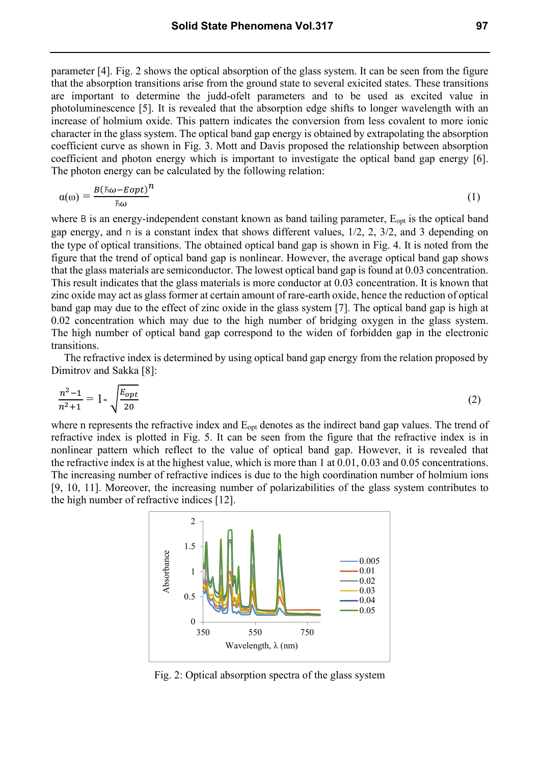parameter [4]. Fig. 2 shows the optical absorption of the glass system. It can be seen from the figure that the absorption transitions arise from the ground state to several exicited states. These transitions are important to determine the judd-ofelt parameters and to be used as excited value in photoluminescence [5]. It is revealed that the absorption edge shifts to longer wavelength with an increase of holmium oxide. This pattern indicates the conversion from less covalent to more ionic character in the glass system. The optical band gap energy is obtained by extrapolating the absorption coefficient curve as shown in Fig. 3. Mott and Davis proposed the relationship between absorption coefficient and photon energy which is important to investigate the optical band gap energy [6]. The photon energy can be calculated by the following relation:

$$
\alpha(\omega) = \frac{B(\hbar\omega - Eopt)}{\hbar\omega} \tag{1}
$$

where B is an energy-independent constant known as band tailing parameter,  $E_{opt}$  is the optical band gap energy, and n is a constant index that shows different values, 1/2, 2, 3/2, and 3 depending on the type of optical transitions. The obtained optical band gap is shown in Fig. 4. It is noted from the figure that the trend of optical band gap is nonlinear. However, the average optical band gap shows that the glass materials are semiconductor. The lowest optical band gap is found at 0.03 concentration. This result indicates that the glass materials is more conductor at 0.03 concentration. It is known that zinc oxide may act as glass former at certain amount of rare-earth oxide, hence the reduction of optical band gap may due to the effect of zinc oxide in the glass system [7]. The optical band gap is high at 0.02 concentration which may due to the high number of bridging oxygen in the glass system. The high number of optical band gap correspond to the widen of forbidden gap in the electronic transitions.

The refractive index is determined by using optical band gap energy from the relation proposed by Dimitrov and Sakka [8]:

$$
\frac{n^2 - 1}{n^2 + 1} = 1 - \sqrt{\frac{E_{opt}}{20}}\tag{2}
$$

where n represents the refractive index and Eopt denotes as the indirect band gap values. The trend of refractive index is plotted in Fig. 5. It can be seen from the figure that the refractive index is in nonlinear pattern which reflect to the value of optical band gap. However, it is revealed that the refractive index is at the highest value, which is more than 1 at 0.01, 0.03 and 0.05 concentrations. The increasing number of refractive indices is due to the high coordination number of holmium ions [9, 10, 11]. Moreover, the increasing number of polarizabilities of the glass system contributes to the high number of refractive indices [12].



Fig. 2: Optical absorption spectra of the glass system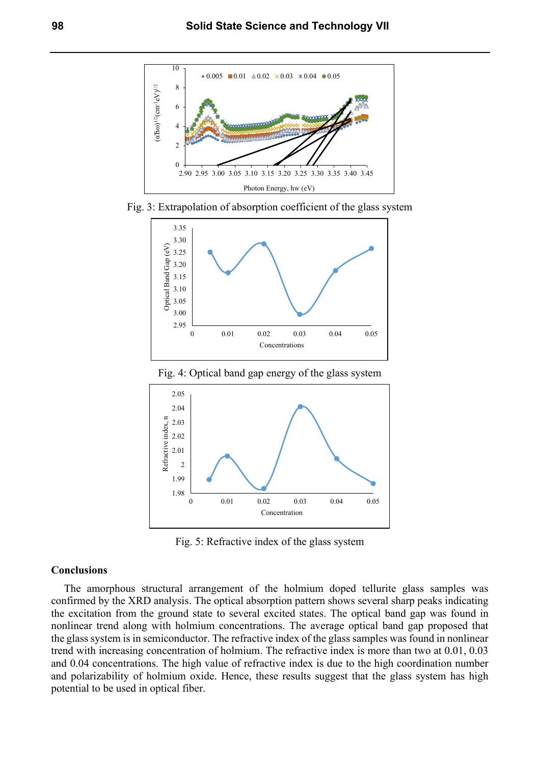

Fig. 3: Extrapolation of absorption coefficient of the glass system



Fig. 4: Optical band gap energy of the glass system



Fig. 5: Refractive index of the glass system

#### **Conclusions**

The amorphous structural arrangement of the holmium doped tellurite glass samples was confirmed by the XRD analysis. The optical absorption pattern shows several sharp peaks indicating the excitation from the ground state to several excited states. The optical band gap was found in nonlinear trend along with holmium concentrations. The average optical band gap proposed that the glass system is in semiconductor. The refractive index of the glass samples was found in nonlinear trend with increasing concentration of holmium. The refractive index is more than two at 0.01, 0.03 and 0.04 concentrations. The high value of refractive index is due to the high coordination number and polarizability of holmium oxide. Hence, these results suggest that the glass system has high potential to be used in optical fiber.